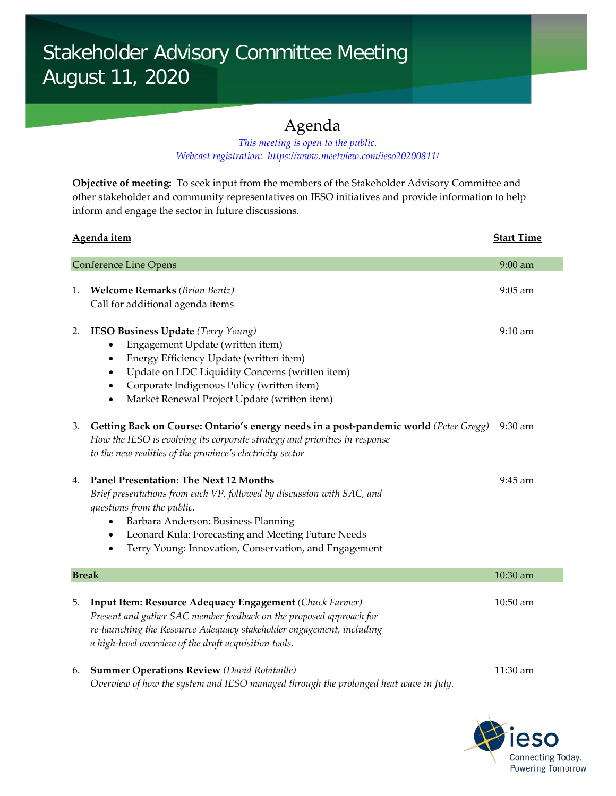## Agenda

## *This meeting is open to the public. Webcast registration: <https://www.meetview.com/ieso20200811/>*

**Objective of meeting:** To seek input from the members of the Stakeholder Advisory Committee and other stakeholder and community representatives on IESO initiatives and provide information to help inform and engage the sector in future discussions.

| Agenda item                  |                                                                                                                                                                                                                                                                                                                                                    | <b>Start Time</b> |
|------------------------------|----------------------------------------------------------------------------------------------------------------------------------------------------------------------------------------------------------------------------------------------------------------------------------------------------------------------------------------------------|-------------------|
| <b>Conference Line Opens</b> |                                                                                                                                                                                                                                                                                                                                                    | 9:00 am           |
| 1.                           | <b>Welcome Remarks</b> (Brian Bentz)<br>Call for additional agenda items                                                                                                                                                                                                                                                                           | $9:05$ am         |
| 2.                           | IESO Business Update (Terry Young)<br>Engagement Update (written item)<br>$\bullet$<br>Energy Efficiency Update (written item)<br>$\bullet$<br>Update on LDC Liquidity Concerns (written item)<br>$\bullet$<br>Corporate Indigenous Policy (written item)<br>$\bullet$<br>Market Renewal Project Update (written item)<br>$\bullet$                | 9:10 am           |
| 3.                           | Getting Back on Course: Ontario's energy needs in a post-pandemic world (Peter Gregg)<br>How the IESO is evolving its corporate strategy and priorities in response<br>to the new realities of the province's electricity sector                                                                                                                   | $9:30$ am         |
| 4.                           | <b>Panel Presentation: The Next 12 Months</b><br>Brief presentations from each VP, followed by discussion with SAC, and<br>questions from the public.<br>Barbara Anderson: Business Planning<br>$\bullet$<br>Leonard Kula: Forecasting and Meeting Future Needs<br>$\bullet$<br>Terry Young: Innovation, Conservation, and Engagement<br>$\bullet$ | 9:45 am           |
| <b>Break</b>                 |                                                                                                                                                                                                                                                                                                                                                    | 10:30 am          |
| 5.                           | Input Item: Resource Adequacy Engagement (Chuck Farmer)<br>Present and gather SAC member feedback on the proposed approach for<br>re-launching the Resource Adequacy stakeholder engagement, including<br>a high-level overview of the draft acquisition tools.                                                                                    | 10:50 am          |
| 6.                           | <b>Summer Operations Review (David Robitaille)</b><br>Overview of how the system and IESO managed through the prolonged heat wave in July.                                                                                                                                                                                                         | 11:30 am          |